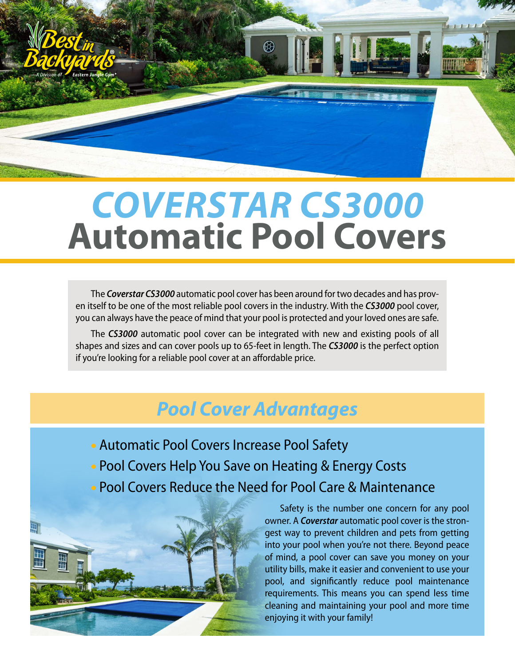

# **Automatic Pool Covers** *COVERSTAR CS3000*

The *Coverstar CS3000* automatic pool cover has been around for two decades and has proven itself to be one of the most reliable pool covers in the industry. With the *CS3000* pool cover, you can always have the peace of mind that your pool is protected and your loved ones are safe.

The *CS3000* automatic pool cover can be integrated with new and existing pools of all shapes and sizes and can cover pools up to 65-feet in length. The *CS3000* is the perfect option if you're looking for a reliable pool cover at an affordable price.

## *Pool Cover Advantages*

- Automatic Pool Covers Increase Pool Safety
- Pool Covers Help You Save on Heating & Energy Costs
- Pool Covers Reduce the Need for Pool Care & Maintenance



**®**

Safety is the number one concern for any pool owner. A *Coverstar* automatic pool cover is the strongest way to prevent children and pets from getting into your pool when you're not there. Beyond peace of mind, a pool cover can save you money on your utility bills, make it easier and convenient to use your pool, and significantly reduce pool maintenance requirements. This means you can spend less time cleaning and maintaining your pool and more time enjoying it with your family!